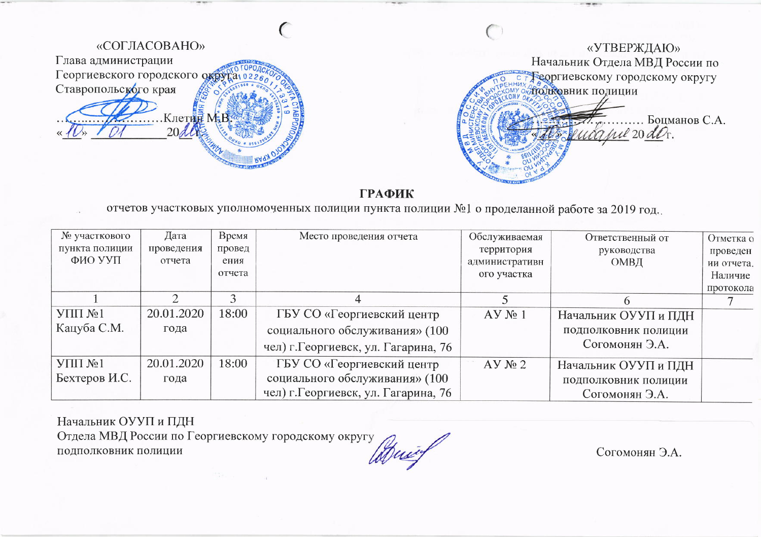

отчетов участковых уполномоченных полиции пункта полиции №1 о проделанной работе за 2019 год.

| № участкового  | Дата       | Время  | Место проведения отчета              | Обслуживаемая  | Ответственный от     | Отметка о  |
|----------------|------------|--------|--------------------------------------|----------------|----------------------|------------|
| пункта полиции | проведения | провед |                                      | территория     | руководства          | проведен   |
| ФИО УУП        | отчета     | ения   |                                      | административн | ОМВД                 | ии отчета. |
|                |            | отчета |                                      | ого участка    |                      | Наличие    |
|                |            |        |                                      |                |                      | протокола  |
|                |            | ◠      | 4                                    |                |                      |            |
| $Y\Pi\Pi M_21$ | 20.01.2020 | 18:00  | ГБУ СО «Георгиевский центр           | $AY$ $N_2$ 1   | Начальник ОУУП и ПДН |            |
| Кацуба С.М.    | года       |        | социального обслуживания» (100       |                | подполковник полиции |            |
|                |            |        | чел) г. Георгиевск, ул. Гагарина, 76 |                | Согомонян Э.А.       |            |
| $Y\Pi\Pi N21$  | 20.01.2020 | 18:00  | ГБУ СО «Георгиевский центр           | $AY$ $N_2$ 2   | Начальник ОУУП и ПДН |            |
| Бехтеров И.С.  | года       |        | социального обслуживания» (100       |                | подполковник полиции |            |
|                |            |        | чел) г. Георгиевск, ул. Гагарина, 76 |                | Согомонян Э.А.       |            |

## Начальник ОУУП и ПДН

Отдела МВД России по Георгиевскому городскому округу подполковник полиции

Согомонян Э.А.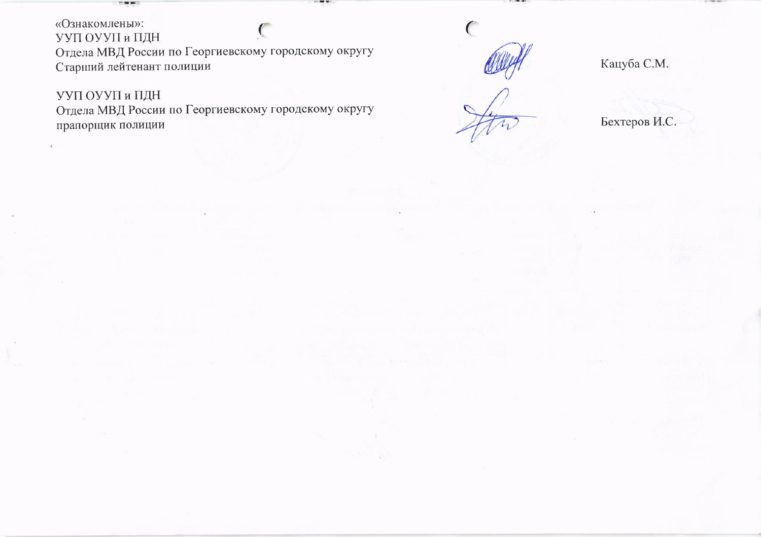«Ознакомлены»: УУП ОУУП и ПДН Отдела МВД России по Георгиевскому городскому округу Старший лейтенант полиции

УУП ОУУП и ПДН

Отдела МВД России по Георгиевскому городскому округу прапорщик полиции

Кацуба С.М.

Бехтеров И.С.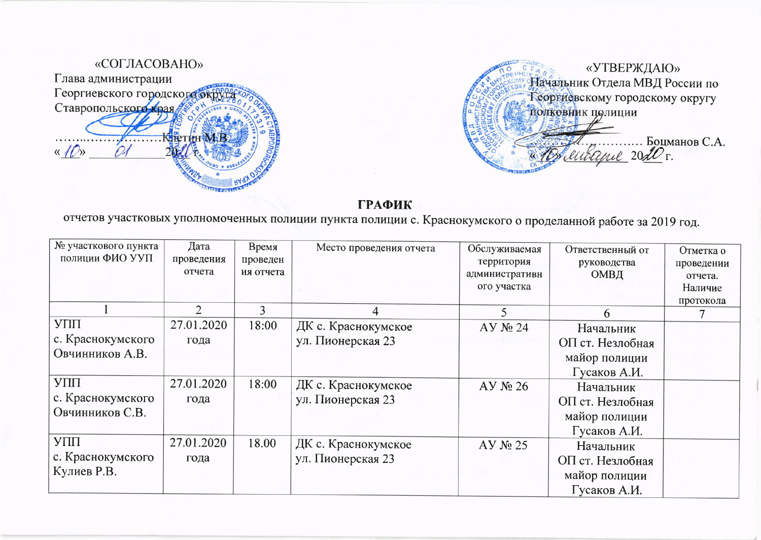



отчетов участковых уполномоченных полиции пункта полиции с. Краснокумского о проделанной работе за 2019 год.

| № участкового пункта<br>полиции ФИО УУП     | Дата<br>проведения<br>отчета | Время<br>проведен<br>ия отчета | Место проведения отчета                  | Обслуживаемая<br>территория<br>административн<br>ого участка | Ответственный от<br>руководства<br>ОМВД                        | Отметка о<br>проведении<br>отчета.<br>Наличие<br>протокола |
|---------------------------------------------|------------------------------|--------------------------------|------------------------------------------|--------------------------------------------------------------|----------------------------------------------------------------|------------------------------------------------------------|
|                                             | $\overline{2}$               | 3                              | 4                                        |                                                              | 6                                                              |                                                            |
| УПП<br>с. Краснокумского<br>Овчинников А.В. | 27.01.2020<br>года           | 18:00                          | ДК с. Краснокумское<br>ул. Пионерская 23 | $AY$ $N24$                                                   | Начальник<br>ОП ст. Незлобная<br>майор полиции<br>Гусаков А.И. |                                                            |
| УПП<br>с. Краснокумского<br>Овчинников С.В. | 27.01.2020<br>года           | 18:00                          | ДК с. Краснокумское<br>ул. Пионерская 23 | $AY$ $N_2$ 26                                                | Начальник<br>ОП ст. Незлобная<br>майор полиции<br>Гусаков А.И. |                                                            |
| УПП<br>с. Краснокумского<br>Кулиев Р.В.     | 27.01.2020<br>года           | 18.00                          | ДК с. Краснокумское<br>ул. Пионерская 23 | $AY$ $N25$                                                   | Начальник<br>ОП ст. Незлобная<br>майор полиции<br>Гусаков А.И. |                                                            |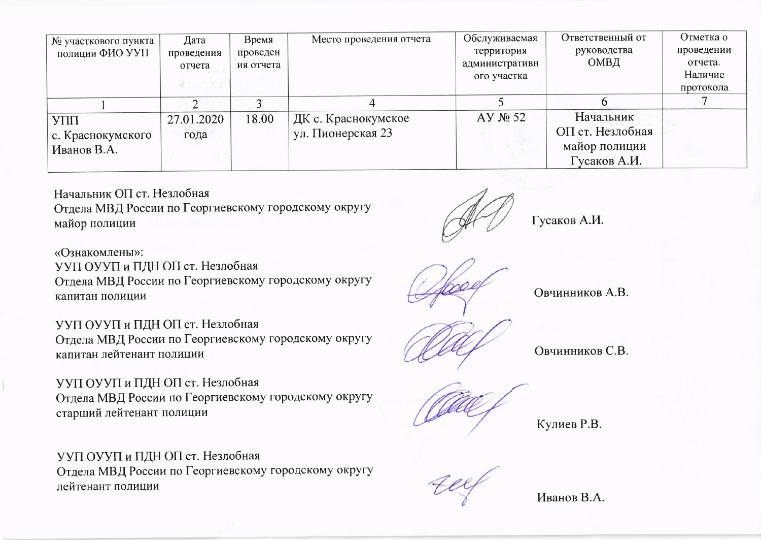| № участкового пункта | Дата       | Время     | Место проведения отчета | Обслуживаемая  | Ответственный от | Отметка о  |
|----------------------|------------|-----------|-------------------------|----------------|------------------|------------|
| полиции ФИО УУП      | проведения | проведен  |                         | территория     | руководства      | проведении |
|                      | отчета     | ия отчета |                         | административн | ОМВД             | отчета.    |
|                      |            |           |                         | ого участка    |                  | Наличие    |
|                      | 最大 当时会选    |           |                         |                |                  | протокола  |
|                      |            |           |                         |                |                  |            |
| УПП                  | 27.01.2020 | 18.00     | ДК с. Краснокумское     | $AY$ No 52     | Начальник        |            |
| с. Краснокумского    | года       |           | ул. Пионерская 23       |                | ОП ст. Незлобная |            |
| Иванов В.А.          |            |           |                         |                | майор полиции    |            |
|                      |            |           |                         |                | Гусаков А.И.     |            |

Начальник ОП ст. Незлобная Отдела МВД России по Георгиевскому городскому округу майор полиции

Гусаков А.И.

«Ознакомлены»: УУП ОУУП и ПДН ОП ст. Незлобная Отдела МВД России по Георгиевскому городскому округу капитан полиции

УУП ОУУП и ПДН ОП ст. Незлобная Отдела МВД России по Георгиевскому городскому округу капитан лейтенант полиции

УУП ОУУП и ПДН ОП ст. Незлобная Отдела МВД России по Георгиевскому городскому округу старший лейтенант полиции

## УУП ОУУП и ПДН ОП ст. Незлобная

Отдела МВД России по Георгиевскому городскому округу лейтенант полиции

Овчинников А.В.

Овчинников С.В.

Кулиев Р.В.

Иванов В.А.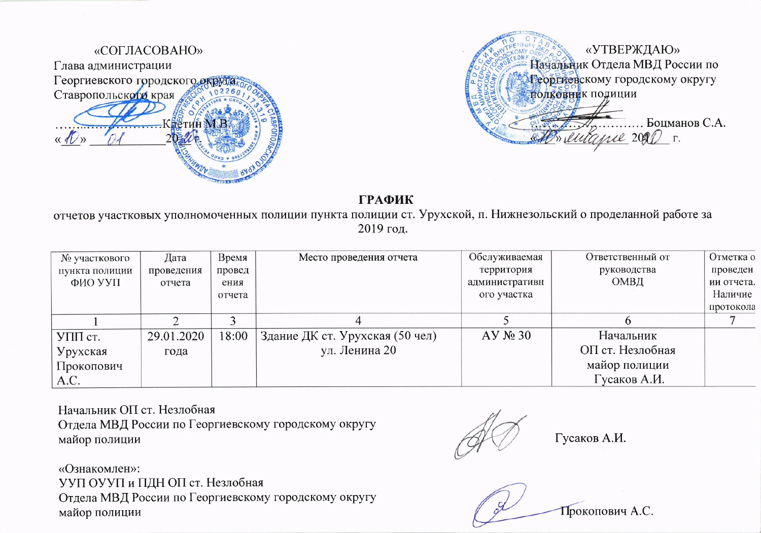



отчетов участковых уполномоченных полиции пункта полиции ст. Урухской, п. Нижнезольский о проделанной работе за 2019 год.

| № участкового  | Дата       | Время  | Место проведения отчета         | Обслуживаемая  | Ответственный от | Отметка о  |
|----------------|------------|--------|---------------------------------|----------------|------------------|------------|
| пункта полиции | проведения | провед |                                 | территория     | руководства      | проведен   |
| ФИО УУП        | отчета     | ения   |                                 | административн | ОМВД             | ии отчета. |
|                |            | отчета |                                 | ого участка    |                  | Наличие    |
|                |            |        |                                 |                |                  | протокола  |
|                |            |        |                                 |                |                  |            |
| УПП ст.        | 29.01.2020 | 18:00  | Здание ДК ст. Урухская (50 чел) | $AY$ $N2$ 30   | Начальник        |            |
| Урухская       | года       |        | ул. Ленина 20                   |                | ОП ст. Незлобная |            |
| Прокопович     |            |        |                                 |                | майор полиции    |            |
| A.C.           |            |        |                                 |                | Гусаков А.И.     |            |

Начальник ОП ст. Незлобная Отдела МВД России по Георгиевскому городскому округу майор полиции

Гусаков А.И.

«Ознакомлен»: УУП ОУУП и ПДН ОП ст. Незлобная Отдела МВД России по Георгиевскому городскому округу майор полиции

Прокопович А.С.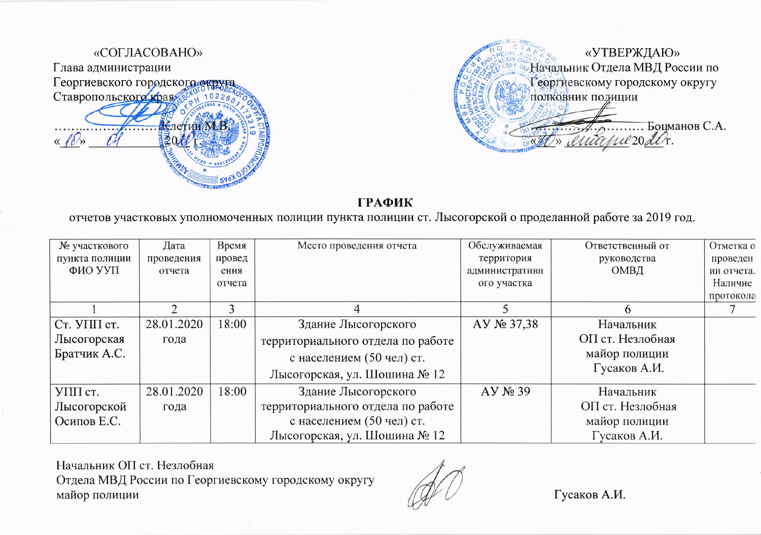



отчетов участковых уполномоченных полиции пункта полиции ст. Лысогорской о проделанной работе за 2019 год.

| № участкового  | Дата       | Время  | Место проведения отчета           | Обслуживаемая  | Ответственный от | Отметка о  |
|----------------|------------|--------|-----------------------------------|----------------|------------------|------------|
| пункта полиции | проведения | провед |                                   | территория     | руководства      | проведен   |
| ФИО УУП        | отчета     | ения   |                                   | административн | ОМВД             | ии отчета. |
|                |            | отчета |                                   | ого участка    |                  | Наличие    |
|                |            |        |                                   |                |                  | протокола  |
|                |            |        | 4                                 |                | n                |            |
| Ст. УПП ст.    | 28.01.2020 | 18:00  | Здание Лысогорского               | AY № 37,38     | Начальник        |            |
| Лысогорская    | года       |        | территориального отдела по работе |                | ОП ст. Незлобная |            |
| Братчик А.С.   |            |        | с населением (50 чел) ст.         |                | майор полиции    |            |
|                |            |        | Лысогорская, ул. Шошина № 12      |                | Гусаков А.И.     |            |
| УПП ст.        | 28.01.2020 | 18:00  | Здание Лысогорского               | $AY$ $N2$ 39   | Начальник        |            |
| Лысогорской    | года       |        | территориального отдела по работе |                | ОП ст. Незлобная |            |
| Осипов Е.С.    |            |        | с населением (50 чел) ст.         |                | майор полиции    |            |
|                |            |        | Лысогорская, ул. Шошина № 12      |                | Гусаков А.И.     |            |

Начальник ОП ст. Незлобная Отдела МВД России по Георгиевскому городскому округу майор полиции

Гусаков А.И.